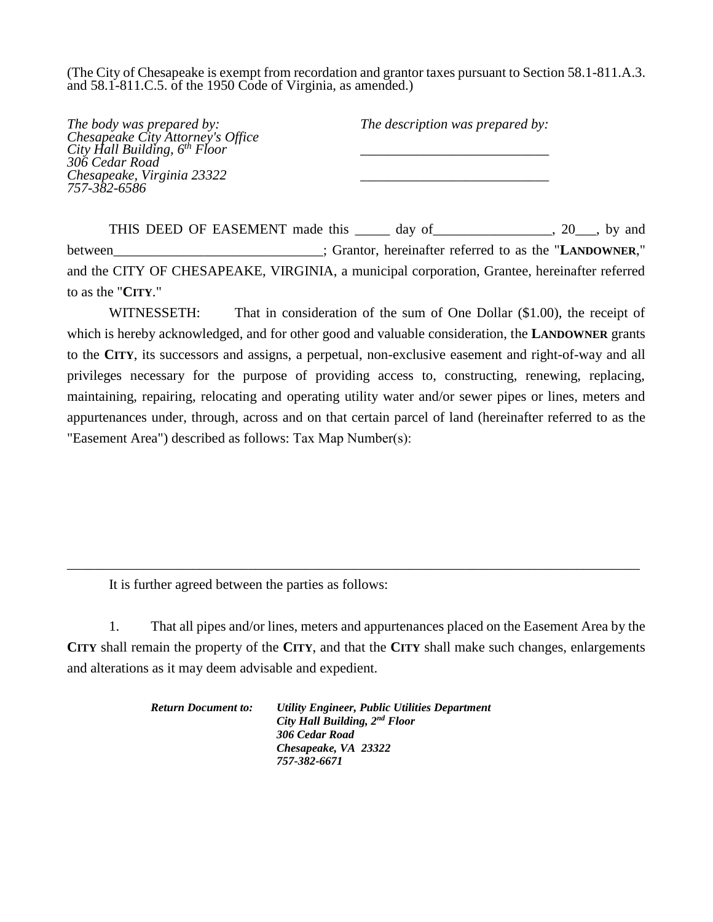(The City of Chesapeake is exempt from recordation and grantor taxes pursuant to Section 58.1-811.A.3. and 58.1-811.C.5. of the 1950 Code of Virginia, as amended.)

| The body was prepared by:                                                      | The description was prepared by: |
|--------------------------------------------------------------------------------|----------------------------------|
|                                                                                |                                  |
| Chesapeake City Attorney's Office<br>City Hall Building, 6 <sup>th</sup> Floor |                                  |
| 306 Cedar Road                                                                 |                                  |
| Chesapeake, Virginia 23322                                                     |                                  |
| 757-382-6586                                                                   |                                  |
|                                                                                |                                  |

THIS DEED OF EASEMENT made this day of 3. 20 by and between : Grantor, hereinafter referred to as the "**LANDOWNER**," and the CITY OF CHESAPEAKE, VIRGINIA, a municipal corporation, Grantee, hereinafter referred to as the "**CITY**."

WITNESSETH: That in consideration of the sum of One Dollar (\$1.00), the receipt of which is hereby acknowledged, and for other good and valuable consideration, the **LANDOWNER** grants to the **CITY**, its successors and assigns, a perpetual, non-exclusive easement and right-of-way and all privileges necessary for the purpose of providing access to, constructing, renewing, replacing, maintaining, repairing, relocating and operating utility water and/or sewer pipes or lines, meters and appurtenances under, through, across and on that certain parcel of land (hereinafter referred to as the "Easement Area") described as follows: Tax Map Number(s):

It is further agreed between the parties as follows:

1. That all pipes and/or lines, meters and appurtenances placed on the Easement Area by the **CITY** shall remain the property of the **CITY**, and that the **CITY** shall make such changes, enlargements and alterations as it may deem advisable and expedient.

\_\_\_\_\_\_\_\_\_\_\_\_\_\_\_\_\_\_\_\_\_\_\_\_\_\_\_\_\_\_\_\_\_\_\_\_\_\_\_\_\_\_\_\_\_\_\_\_\_\_\_\_\_\_\_\_\_\_\_\_\_\_\_\_\_\_\_\_\_\_\_\_\_\_\_\_\_\_\_\_\_\_

*Return Document to: Utility Engineer, Public Utilities Department City Hall Building, 2nd Floor 306 Cedar Road Chesapeake, VA 23322 757-382-6671*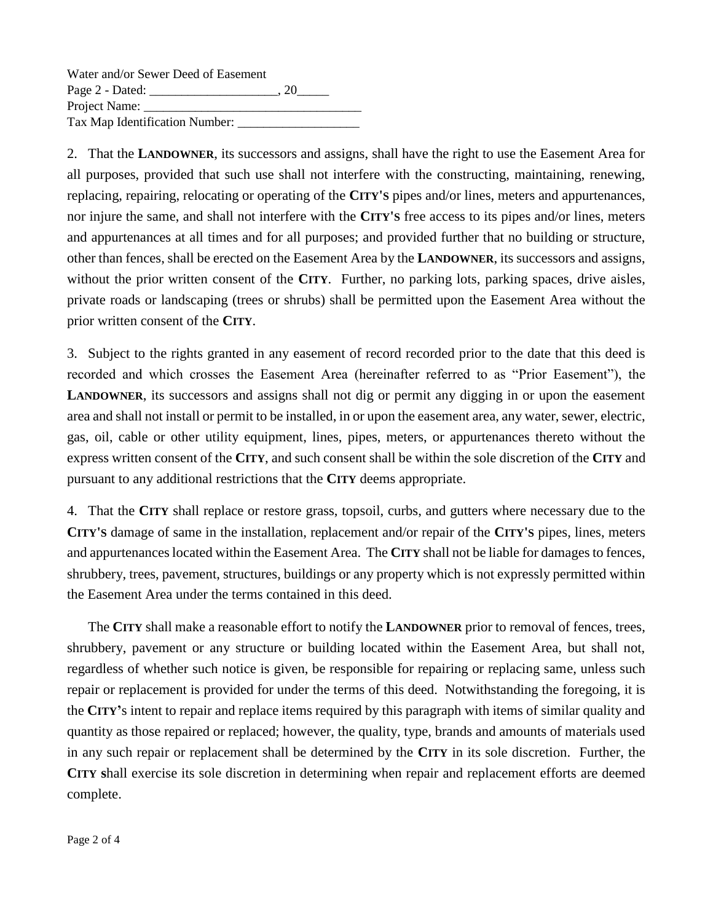Water and/or Sewer Deed of Easement Page 2 - Dated: \_\_\_\_\_\_\_\_\_\_\_\_\_\_\_\_\_\_\_\_, 20\_\_\_\_\_ Project Name: Tax Map Identification Number: \_\_\_\_\_\_\_\_\_\_\_\_\_\_\_\_\_\_\_

2. That the **LANDOWNER**, its successors and assigns, shall have the right to use the Easement Area for all purposes, provided that such use shall not interfere with the constructing, maintaining, renewing, replacing, repairing, relocating or operating of the **CITY'S** pipes and/or lines, meters and appurtenances, nor injure the same, and shall not interfere with the **CITY'S** free access to its pipes and/or lines, meters and appurtenances at all times and for all purposes; and provided further that no building or structure, other than fences, shall be erected on the Easement Area by the **LANDOWNER**, its successors and assigns, without the prior written consent of the **CITY**. Further, no parking lots, parking spaces, drive aisles, private roads or landscaping (trees or shrubs) shall be permitted upon the Easement Area without the prior written consent of the **CITY**.

3. Subject to the rights granted in any easement of record recorded prior to the date that this deed is recorded and which crosses the Easement Area (hereinafter referred to as "Prior Easement"), the **LANDOWNER**, its successors and assigns shall not dig or permit any digging in or upon the easement area and shall not install or permit to be installed, in or upon the easement area, any water, sewer, electric, gas, oil, cable or other utility equipment, lines, pipes, meters, or appurtenances thereto without the express written consent of the **CITY**, and such consent shall be within the sole discretion of the **CITY** and pursuant to any additional restrictions that the **CITY** deems appropriate.

4. That the **CITY** shall replace or restore grass, topsoil, curbs, and gutters where necessary due to the **CITY'S** damage of same in the installation, replacement and/or repair of the **CITY'S** pipes, lines, meters and appurtenances located within the Easement Area. The **CITY** shall not be liable for damages to fences, shrubbery, trees, pavement, structures, buildings or any property which is not expressly permitted within the Easement Area under the terms contained in this deed.

The **CITY** shall make a reasonable effort to notify the **LANDOWNER** prior to removal of fences, trees, shrubbery, pavement or any structure or building located within the Easement Area, but shall not, regardless of whether such notice is given, be responsible for repairing or replacing same, unless such repair or replacement is provided for under the terms of this deed. Notwithstanding the foregoing, it is the **CITY'**s intent to repair and replace items required by this paragraph with items of similar quality and quantity as those repaired or replaced; however, the quality, type, brands and amounts of materials used in any such repair or replacement shall be determined by the **CITY** in its sole discretion. Further, the **CITY s**hall exercise its sole discretion in determining when repair and replacement efforts are deemed complete.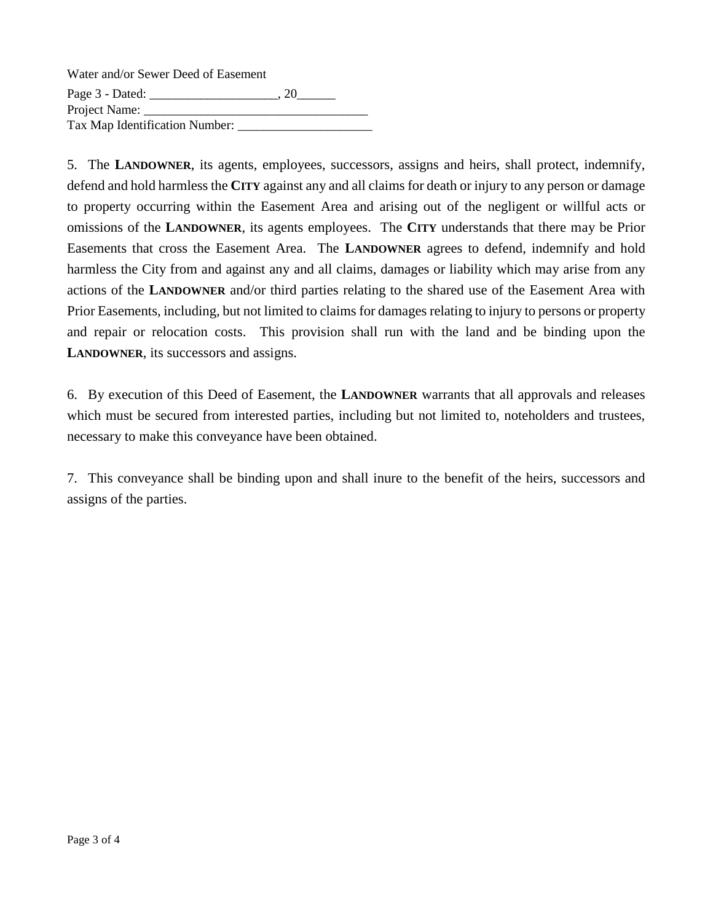| Water and/or Sewer Deed of Easement |    |
|-------------------------------------|----|
| Page $3$ - Dated: $\_\_$            | 20 |
| Project Name:                       |    |
| Tax Map Identification Number:      |    |

5. The **LANDOWNER**, its agents, employees, successors, assigns and heirs, shall protect, indemnify, defend and hold harmless the **CITY** against any and all claims for death or injury to any person or damage to property occurring within the Easement Area and arising out of the negligent or willful acts or omissions of the **LANDOWNER**, its agents employees. The **CITY** understands that there may be Prior Easements that cross the Easement Area. The **LANDOWNER** agrees to defend, indemnify and hold harmless the City from and against any and all claims, damages or liability which may arise from any actions of the **LANDOWNER** and/or third parties relating to the shared use of the Easement Area with Prior Easements, including, but not limited to claims for damages relating to injury to persons or property and repair or relocation costs. This provision shall run with the land and be binding upon the **LANDOWNER**, its successors and assigns.

6. By execution of this Deed of Easement, the **LANDOWNER** warrants that all approvals and releases which must be secured from interested parties, including but not limited to, noteholders and trustees, necessary to make this conveyance have been obtained.

7. This conveyance shall be binding upon and shall inure to the benefit of the heirs, successors and assigns of the parties.